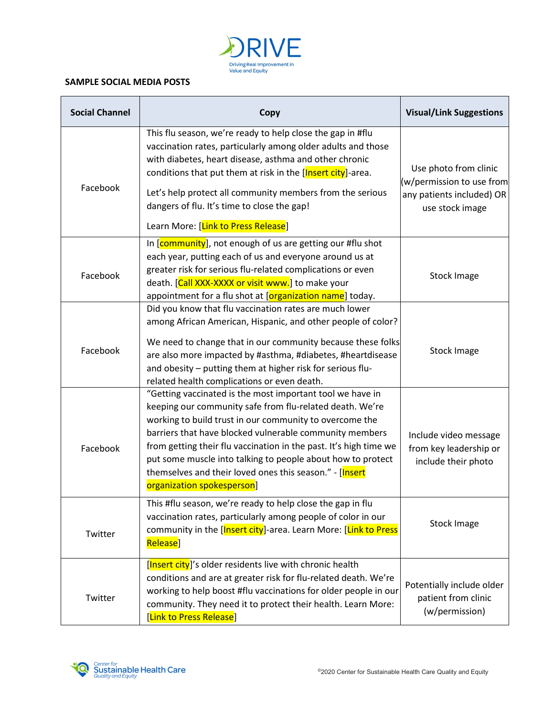

## **SAMPLE SOCIAL MEDIA POSTS**

| <b>Social Channel</b> | Copy                                                                                                                                                                                                                                                                                                                                                                                                                                                                     | <b>Visual/Link Suggestions</b>                                                                     |
|-----------------------|--------------------------------------------------------------------------------------------------------------------------------------------------------------------------------------------------------------------------------------------------------------------------------------------------------------------------------------------------------------------------------------------------------------------------------------------------------------------------|----------------------------------------------------------------------------------------------------|
| Facebook              | This flu season, we're ready to help close the gap in #flu<br>vaccination rates, particularly among older adults and those<br>with diabetes, heart disease, asthma and other chronic<br>conditions that put them at risk in the [Insert city]-area.<br>Let's help protect all community members from the serious<br>dangers of flu. It's time to close the gap!<br>Learn More: [Link to Press Release]                                                                   | Use photo from clinic<br>(w/permission to use from<br>any patients included) OR<br>use stock image |
| Facebook              | In [community], not enough of us are getting our #flu shot<br>each year, putting each of us and everyone around us at<br>greater risk for serious flu-related complications or even<br>death. [Call XXX-XXXX or visit www.] to make your<br>appointment for a flu shot at [organization name] today.                                                                                                                                                                     | <b>Stock Image</b>                                                                                 |
| Facebook              | Did you know that flu vaccination rates are much lower<br>among African American, Hispanic, and other people of color?<br>We need to change that in our community because these folks<br>are also more impacted by #asthma, #diabetes, #heartdisease<br>and obesity - putting them at higher risk for serious flu-<br>related health complications or even death.                                                                                                        | <b>Stock Image</b>                                                                                 |
| Facebook              | "Getting vaccinated is the most important tool we have in<br>keeping our community safe from flu-related death. We're<br>working to build trust in our community to overcome the<br>barriers that have blocked vulnerable community members<br>from getting their flu vaccination in the past. It's high time we<br>put some muscle into talking to people about how to protect<br>themselves and their loved ones this season." - [Insert<br>organization spokesperson] | Include video message<br>from key leadership or<br>include their photo                             |
| Twitter               | This #flu season, we're ready to help close the gap in flu<br>vaccination rates, particularly among people of color in our<br>community in the [Insert city]-area. Learn More: [Link to Press<br>Release]                                                                                                                                                                                                                                                                | <b>Stock Image</b>                                                                                 |
| Twitter               | [Insert city]'s older residents live with chronic health<br>conditions and are at greater risk for flu-related death. We're<br>working to help boost #flu vaccinations for older people in our<br>community. They need it to protect their health. Learn More:<br>[Link to Press Release]                                                                                                                                                                                | Potentially include older<br>patient from clinic<br>(w/permission)                                 |